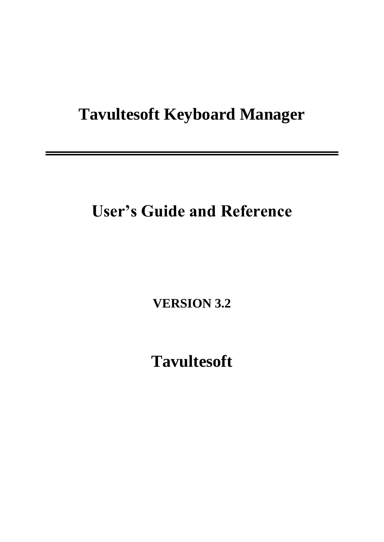# **Tavultesoft Keyboard Manager**

# **User's Guide and Reference**

**VERSION 3.2**

**Tavultesoft**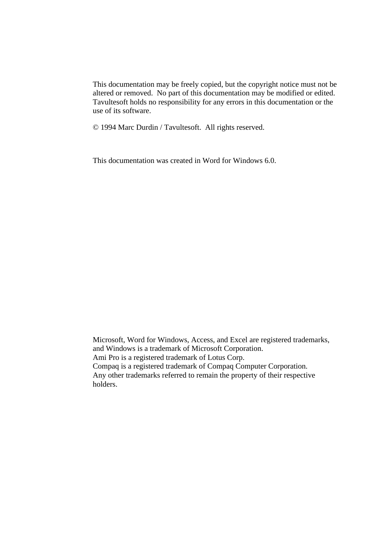This documentation may be freely copied, but the copyright notice must not be altered or removed. No part of this documentation may be modified or edited. Tavultesoft holds no responsibility for any errors in this documentation or the use of its software.

© 1994 Marc Durdin / Tavultesoft. All rights reserved.

This documentation was created in Word for Windows 6.0.

Microsoft, Word for Windows, Access, and Excel are registered trademarks, and Windows is a trademark of Microsoft Corporation. Ami Pro is a registered trademark of Lotus Corp. Compaq is a registered trademark of Compaq Computer Corporation. Any other trademarks referred to remain the property of their respective holders.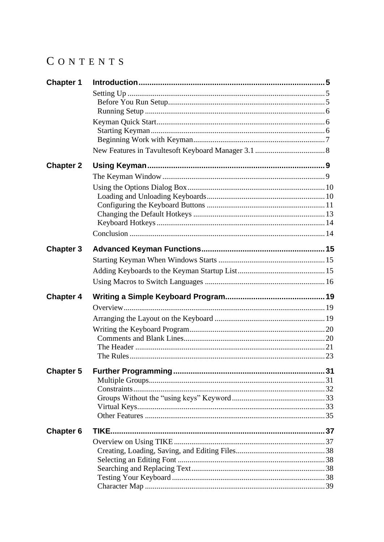# CONTENTS

| <b>Chapter 1</b> |  |
|------------------|--|
|                  |  |
|                  |  |
|                  |  |
|                  |  |
|                  |  |
|                  |  |
|                  |  |
| <b>Chapter 2</b> |  |
|                  |  |
|                  |  |
|                  |  |
|                  |  |
|                  |  |
|                  |  |
|                  |  |
| <b>Chapter 3</b> |  |
|                  |  |
|                  |  |
|                  |  |
| <b>Chapter 4</b> |  |
|                  |  |
|                  |  |
|                  |  |
|                  |  |
|                  |  |
|                  |  |
| <b>Chapter 5</b> |  |
|                  |  |
|                  |  |
|                  |  |
|                  |  |
|                  |  |
| <b>Chapter 6</b> |  |
|                  |  |
|                  |  |
|                  |  |
|                  |  |
|                  |  |
|                  |  |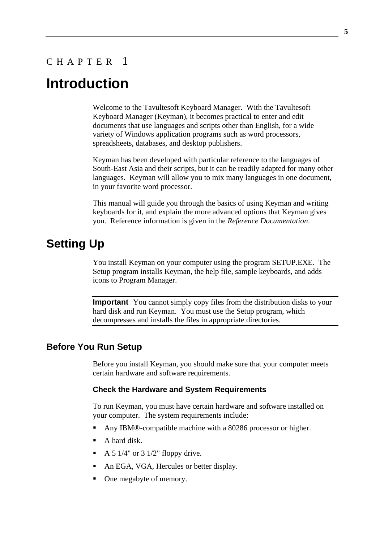## CHAPTER 1

# **Introduction**

Welcome to the Tavultesoft Keyboard Manager. With the Tavultesoft Keyboard Manager (Keyman), it becomes practical to enter and edit documents that use languages and scripts other than English, for a wide variety of Windows application programs such as word processors, spreadsheets, databases, and desktop publishers.

Keyman has been developed with particular reference to the languages of South-East Asia and their scripts, but it can be readily adapted for many other languages. Keyman will allow you to mix many languages in one document, in your favorite word processor.

This manual will guide you through the basics of using Keyman and writing keyboards for it, and explain the more advanced options that Keyman gives you. Reference information is given in the *Reference Documentation*.

# **Setting Up**

You install Keyman on your computer using the program SETUP.EXE. The Setup program installs Keyman, the help file, sample keyboards, and adds icons to Program Manager.

**Important** You cannot simply copy files from the distribution disks to your hard disk and run Keyman. You must use the Setup program, which decompresses and installs the files in appropriate directories.

### **Before You Run Setup**

Before you install Keyman, you should make sure that your computer meets certain hardware and software requirements.

### **Check the Hardware and System Requirements**

To run Keyman, you must have certain hardware and software installed on your computer. The system requirements include:

- Any IBM®-compatible machine with a 80286 processor or higher.
- $\blacksquare$  A hard disk.
- $\blacksquare$  A 5 1/4" or 3 1/2" floppy drive.
- An EGA, VGA, Hercules or better display.
- One megabyte of memory.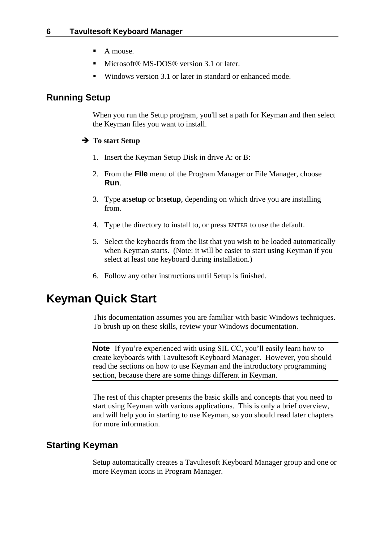- A mouse.
- Microsoft® MS-DOS® version 3.1 or later.
- Windows version 3.1 or later in standard or enhanced mode.

### **Running Setup**

When you run the Setup program, you'll set a path for Keyman and then select the Keyman files you want to install.

### ➔ **To start Setup**

- 1. Insert the Keyman Setup Disk in drive A: or B:
- 2. From the **File** menu of the Program Manager or File Manager, choose **Run**.
- 3. Type **a:setup** or **b:setup**, depending on which drive you are installing from.
- 4. Type the directory to install to, or press ENTER to use the default.
- 5. Select the keyboards from the list that you wish to be loaded automatically when Keyman starts. (Note: it will be easier to start using Keyman if you select at least one keyboard during installation.)
- 6. Follow any other instructions until Setup is finished.

## **Keyman Quick Start**

This documentation assumes you are familiar with basic Windows techniques. To brush up on these skills, review your Windows documentation.

**Note** If you're experienced with using SIL CC, you'll easily learn how to create keyboards with Tavultesoft Keyboard Manager. However, you should read the sections on how to use Keyman and the introductory programming section, because there are some things different in Keyman.

The rest of this chapter presents the basic skills and concepts that you need to start using Keyman with various applications. This is only a brief overview, and will help you in starting to use Keyman, so you should read later chapters for more information.

### **Starting Keyman**

Setup automatically creates a Tavultesoft Keyboard Manager group and one or more Keyman icons in Program Manager.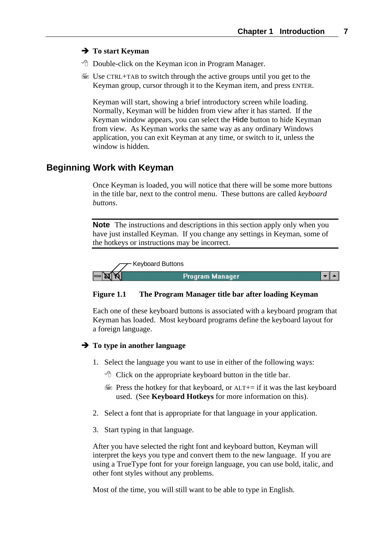### ➔ **To start Keyman**

- Double-click on the Keyman icon in Program Manager.
- $\equiv$  Use CTRL+TAB to switch through the active groups until you get to the Keyman group, cursor through it to the Keyman item, and press ENTER.

Keyman will start, showing a brief introductory screen while loading. Normally, Keyman will be hidden from view after it has started. If the Keyman window appears, you can select the Hide button to hide Keyman from view. As Keyman works the same way as any ordinary Windows application, you can exit Keyman at any time, or switch to it, unless the window is hidden.

### **Beginning Work with Keyman**

Once Keyman is loaded, you will notice that there will be some more buttons in the title bar, next to the control menu. These buttons are called *keyboard buttons*.

**Note** The instructions and descriptions in this section apply only when you have just installed Keyman. If you change any settings in Keyman, some of the hotkeys or instructions may be incorrect.



#### **Figure 1.1 The Program Manager title bar after loading Keyman**

Each one of these keyboard buttons is associated with a keyboard program that Keyman has loaded. Most keyboard programs define the keyboard layout for a foreign language.

#### ➔ **To type in another language**

- 1. Select the language you want to use in either of the following ways:
	- $\Diamond$  Click on the appropriate keyboard button in the title bar.
	- $\equiv$  Press the hotkey for that keyboard, or ALT+= if it was the last keyboard used. (See **Keyboard Hotkeys** for more information on this).
- 2. Select a font that is appropriate for that language in your application.
- 3. Start typing in that language.

After you have selected the right font and keyboard button, Keyman will interpret the keys you type and convert them to the new language. If you are using a TrueType font for your foreign language, you can use bold, italic, and other font styles without any problems.

Most of the time, you will still want to be able to type in English.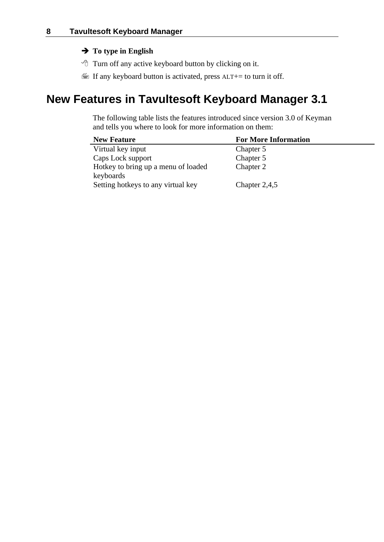### ➔ **To type in English**

- $\Theta$  Turn off any active keyboard button by clicking on it.
- $\equiv$  If any keyboard button is activated, press ALT+= to turn it off.

# **New Features in Tavultesoft Keyboard Manager 3.1**

The following table lists the features introduced since version 3.0 of Keyman and tells you where to look for more information on them:

| <b>New Feature</b>                               | <b>For More Information</b> |
|--------------------------------------------------|-----------------------------|
| Virtual key input                                | Chapter 5                   |
| Caps Lock support                                | Chapter 5                   |
| Hotkey to bring up a menu of loaded<br>keyboards | Chapter 2                   |
| Setting hotkeys to any virtual key               | Chapter $2,4,5$             |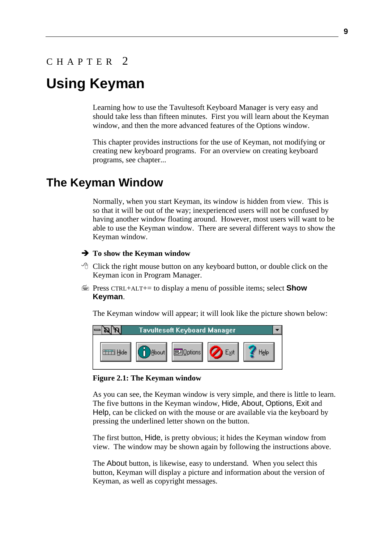## CHAPTER<sub>2</sub>

# **Using Keyman**

Learning how to use the Tavultesoft Keyboard Manager is very easy and should take less than fifteen minutes. First you will learn about the Keyman window, and then the more advanced features of the Options window.

This chapter provides instructions for the use of Keyman, not modifying or creating new keyboard programs. For an overview on creating keyboard programs, see chapter...

## **The Keyman Window**

Normally, when you start Keyman, its window is hidden from view. This is so that it will be out of the way; inexperienced users will not be confused by having another window floating around. However, most users will want to be able to use the Keyman window. There are several different ways to show the Keyman window.

### ➔ **To show the Keyman window**

- $\Diamond$  Click the right mouse button on any keyboard button, or double click on the Keyman icon in Program Manager.
- Press CTRL+ALT+= to display a menu of possible items; select **Show Keyman**.

The Keyman window will appear; it will look like the picture shown below:



**Figure 2.1: The Keyman window**

As you can see, the Keyman window is very simple, and there is little to learn. The five buttons in the Keyman window, Hide, About, Options, Exit and Help, can be clicked on with the mouse or are available via the keyboard by pressing the underlined letter shown on the button.

The first button, Hide, is pretty obvious; it hides the Keyman window from view. The window may be shown again by following the instructions above.

The About button, is likewise, easy to understand. When you select this button, Keyman will display a picture and information about the version of Keyman, as well as copyright messages.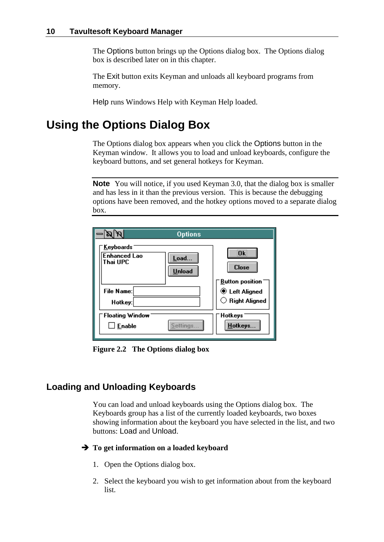The Options button brings up the Options dialog box. The Options dialog box is described later on in this chapter.

The Exit button exits Keyman and unloads all keyboard programs from memory.

Help runs Windows Help with Keyman Help loaded.

# **Using the Options Dialog Box**

The Options dialog box appears when you click the Options button in the Keyman window. It allows you to load and unload keyboards, configure the keyboard buttons, and set general hotkeys for Keyman.

**Note** You will notice, if you used Keyman 3.0, that the dialog box is smaller and has less in it than the previous version. This is because the debugging options have been removed, and the hotkey options moved to a separate dialog box.

|                                                     | <b>Options</b>            |                                                                             |
|-----------------------------------------------------|---------------------------|-----------------------------------------------------------------------------|
| <b>Keyboards</b><br><b>Enhanced Lao</b><br>Thai UPC | $\mathsf{Load}$<br>Unload | Ok<br><b>Close</b>                                                          |
| <b>File Name:</b><br>Hotkey:                        |                           | <b>Button position</b><br><b>● Left Aligned</b><br>$\bigcirc$ Right Aligned |
| "Floating Windo <del>w</del><br><b>Enable</b>       | <b>Settinos</b>           | <b>Hotkeys</b><br>Hotkeys.                                                  |

**Figure 2.2 The Options dialog box**

### **Loading and Unloading Keyboards**

You can load and unload keyboards using the Options dialog box. The Keyboards group has a list of the currently loaded keyboards, two boxes showing information about the keyboard you have selected in the list, and two buttons: Load and Unload.

### ➔ **To get information on a loaded keyboard**

- 1. Open the Options dialog box.
- 2. Select the keyboard you wish to get information about from the keyboard list.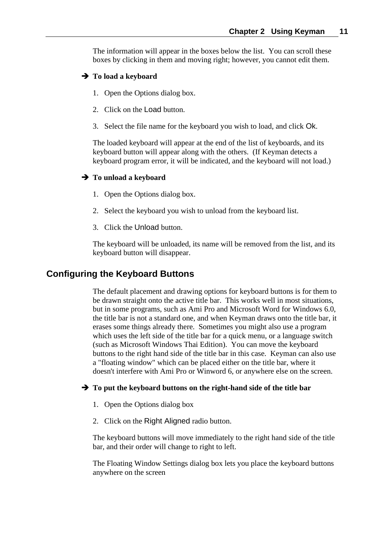The information will appear in the boxes below the list. You can scroll these boxes by clicking in them and moving right; however, you cannot edit them.

### ➔ **To load a keyboard**

- 1. Open the Options dialog box.
- 2. Click on the Load button.
- 3. Select the file name for the keyboard you wish to load, and click Ok.

The loaded keyboard will appear at the end of the list of keyboards, and its keyboard button will appear along with the others. (If Keyman detects a keyboard program error, it will be indicated, and the keyboard will not load.)

### ➔ **To unload a keyboard**

- 1. Open the Options dialog box.
- 2. Select the keyboard you wish to unload from the keyboard list.
- 3. Click the Unload button.

The keyboard will be unloaded, its name will be removed from the list, and its keyboard button will disappear.

### **Configuring the Keyboard Buttons**

The default placement and drawing options for keyboard buttons is for them to be drawn straight onto the active title bar. This works well in most situations, but in some programs, such as Ami Pro and Microsoft Word for Windows 6.0, the title bar is not a standard one, and when Keyman draws onto the title bar, it erases some things already there. Sometimes you might also use a program which uses the left side of the title bar for a quick menu, or a language switch (such as Microsoft Windows Thai Edition). You can move the keyboard buttons to the right hand side of the title bar in this case. Keyman can also use a "floating window" which can be placed either on the title bar, where it doesn't interfere with Ami Pro or Winword 6, or anywhere else on the screen.

### ➔ **To put the keyboard buttons on the right-hand side of the title bar**

- 1. Open the Options dialog box
- 2. Click on the Right Aligned radio button.

The keyboard buttons will move immediately to the right hand side of the title bar, and their order will change to right to left.

The Floating Window Settings dialog box lets you place the keyboard buttons anywhere on the screen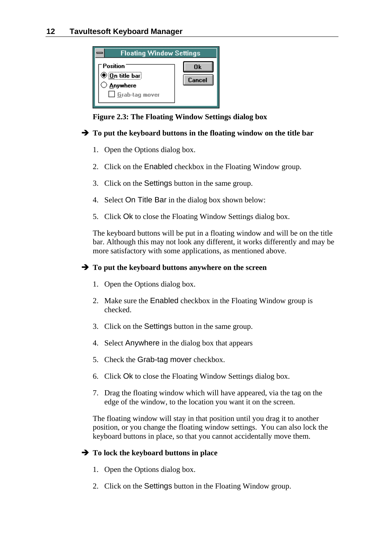



### ➔ **To put the keyboard buttons in the floating window on the title bar**

- 1. Open the Options dialog box.
- 2. Click on the Enabled checkbox in the Floating Window group.
- 3. Click on the Settings button in the same group.
- 4. Select On Title Bar in the dialog box shown below:
- 5. Click Ok to close the Floating Window Settings dialog box.

The keyboard buttons will be put in a floating window and will be on the title bar. Although this may not look any different, it works differently and may be more satisfactory with some applications, as mentioned above.

### ➔ **To put the keyboard buttons anywhere on the screen**

- 1. Open the Options dialog box.
- 2. Make sure the Enabled checkbox in the Floating Window group is checked.
- 3. Click on the Settings button in the same group.
- 4. Select Anywhere in the dialog box that appears
- 5. Check the Grab-tag mover checkbox.
- 6. Click Ok to close the Floating Window Settings dialog box.
- 7. Drag the floating window which will have appeared, via the tag on the edge of the window, to the location you want it on the screen.

The floating window will stay in that position until you drag it to another position, or you change the floating window settings. You can also lock the keyboard buttons in place, so that you cannot accidentally move them.

### ➔ **To lock the keyboard buttons in place**

- 1. Open the Options dialog box.
- 2. Click on the Settings button in the Floating Window group.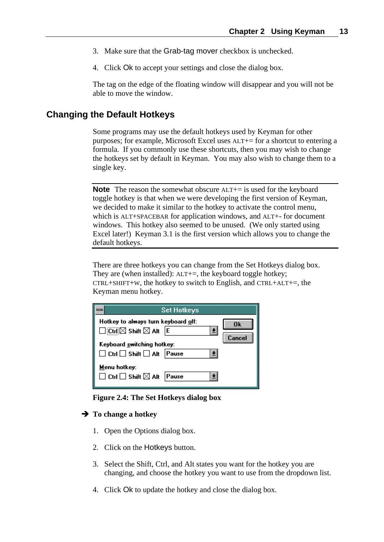- 3. Make sure that the Grab-tag mover checkbox is unchecked.
- 4. Click Ok to accept your settings and close the dialog box.

The tag on the edge of the floating window will disappear and you will not be able to move the window.

### **Changing the Default Hotkeys**

Some programs may use the default hotkeys used by Keyman for other purposes; for example, Microsoft Excel uses ALT+= for a shortcut to entering a formula. If you commonly use these shortcuts, then you may wish to change the hotkeys set by default in Keyman. You may also wish to change them to a single key.

**Note** The reason the somewhat obscure ALT+= is used for the keyboard toggle hotkey is that when we were developing the first version of Keyman, we decided to make it similar to the hotkey to activate the control menu, which is ALT+SPACEBAR for application windows, and ALT+- for document windows. This hotkey also seemed to be unused. (We only started using Excel later!) Keyman 3.1 is the first version which allows you to change the default hotkeys.

There are three hotkeys you can change from the Set Hotkeys dialog box. They are (when installed):  $ALT +=$ , the keyboard toggle hotkey;  $CTRL+SHIFT+W$ , the hotkey to switch to English, and  $CTRL+ALT+=$ , the Keyman menu hotkey.

| <b>Set Hotkeys</b>                                                                                              |    |
|-----------------------------------------------------------------------------------------------------------------|----|
| Hotkey to always turn keyboard off:<br>$\square$ Ctrl $\boxtimes$ Shift $\boxtimes$ Alt $\overline{\mathsf{E}}$ | 0k |
| Keyboard switching hotkey:<br>□ Ctrl □ Shift □ Alt Pause                                                        |    |
| Menu hotkey:<br>$\Box$ Ctrl $\Box$ Shift $\boxtimes$ Alt<br><b>Pause</b>                                        |    |

### **Figure 2.4: The Set Hotkeys dialog box**

### ➔ **To change a hotkey**

- 1. Open the Options dialog box.
- 2. Click on the Hotkeys button.
- 3. Select the Shift, Ctrl, and Alt states you want for the hotkey you are changing, and choose the hotkey you want to use from the dropdown list.
- 4. Click Ok to update the hotkey and close the dialog box.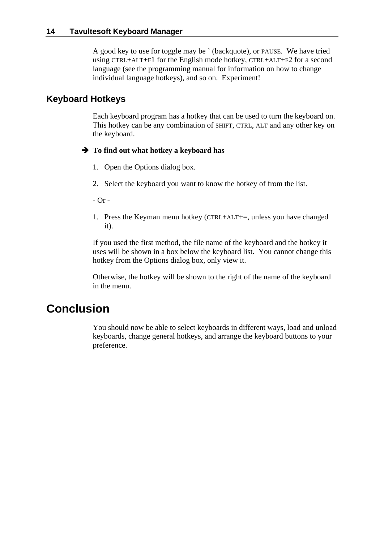A good key to use for toggle may be ` (backquote), or PAUSE. We have tried using CTRL+ALT+F1 for the English mode hotkey, CTRL+ALT+F2 for a second language (see the programming manual for information on how to change individual language hotkeys), and so on. Experiment!

### **Keyboard Hotkeys**

Each keyboard program has a hotkey that can be used to turn the keyboard on. This hotkey can be any combination of SHIFT, CTRL, ALT and any other key on the keyboard.

### ➔ **To find out what hotkey a keyboard has**

- 1. Open the Options dialog box.
- 2. Select the keyboard you want to know the hotkey of from the list.

- Or -

1. Press the Keyman menu hotkey (CTRL+ALT+=, unless you have changed it).

If you used the first method, the file name of the keyboard and the hotkey it uses will be shown in a box below the keyboard list. You cannot change this hotkey from the Options dialog box, only view it.

Otherwise, the hotkey will be shown to the right of the name of the keyboard in the menu.

# **Conclusion**

You should now be able to select keyboards in different ways, load and unload keyboards, change general hotkeys, and arrange the keyboard buttons to your preference.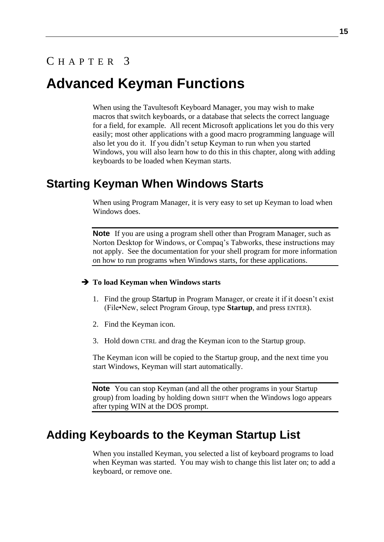# C H A P T E R 3

# **Advanced Keyman Functions**

When using the Tavultesoft Keyboard Manager, you may wish to make macros that switch keyboards, or a database that selects the correct language for a field, for example. All recent Microsoft applications let you do this very easily; most other applications with a good macro programming language will also let you do it. If you didn't setup Keyman to run when you started Windows, you will also learn how to do this in this chapter, along with adding keyboards to be loaded when Keyman starts.

# **Starting Keyman When Windows Starts**

When using Program Manager, it is very easy to set up Keyman to load when Windows does.

**Note** If you are using a program shell other than Program Manager, such as Norton Desktop for Windows, or Compaq's Tabworks, these instructions may not apply. See the documentation for your shell program for more information on how to run programs when Windows starts, for these applications.

### ➔ **To load Keyman when Windows starts**

- 1. Find the group Startup in Program Manager, or create it if it doesn't exist (File•New, select Program Group, type **Startup**, and press ENTER).
- 2. Find the Keyman icon.
- 3. Hold down CTRL and drag the Keyman icon to the Startup group.

The Keyman icon will be copied to the Startup group, and the next time you start Windows, Keyman will start automatically.

**Note** You can stop Keyman (and all the other programs in your Startup group) from loading by holding down SHIFT when the Windows logo appears after typing WIN at the DOS prompt.

# **Adding Keyboards to the Keyman Startup List**

When you installed Keyman, you selected a list of keyboard programs to load when Keyman was started. You may wish to change this list later on; to add a keyboard, or remove one.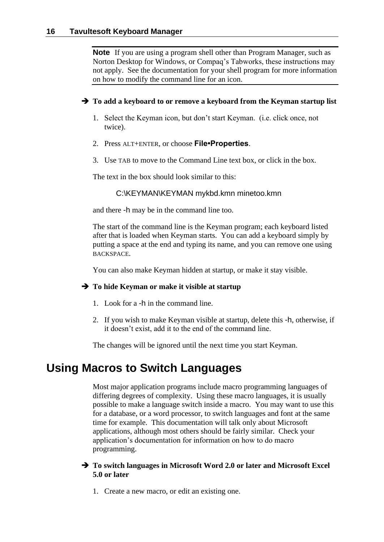**Note** If you are using a program shell other than Program Manager, such as Norton Desktop for Windows, or Compaq's Tabworks, these instructions may not apply. See the documentation for your shell program for more information on how to modify the command line for an icon.

### ➔ **To add a keyboard to or remove a keyboard from the Keyman startup list**

- 1. Select the Keyman icon, but don't start Keyman. (i.e. click once, not twice).
- 2. Press ALT+ENTER, or choose **File•Properties**.
- 3. Use TAB to move to the Command Line text box, or click in the box.

The text in the box should look similar to this:

C:\KEYMAN\KEYMAN mykbd.kmn minetoo.kmn

and there -h may be in the command line too.

The start of the command line is the Keyman program; each keyboard listed after that is loaded when Keyman starts. You can add a keyboard simply by putting a space at the end and typing its name, and you can remove one using BACKSPACE.

You can also make Keyman hidden at startup, or make it stay visible.

### ➔ **To hide Keyman or make it visible at startup**

- 1. Look for a -h in the command line.
- 2. If you wish to make Keyman visible at startup, delete this -h, otherwise, if it doesn't exist, add it to the end of the command line.

The changes will be ignored until the next time you start Keyman.

# **Using Macros to Switch Languages**

Most major application programs include macro programming languages of differing degrees of complexity. Using these macro languages, it is usually possible to make a language switch inside a macro. You may want to use this for a database, or a word processor, to switch languages and font at the same time for example. This documentation will talk only about Microsoft applications, although most others should be fairly similar. Check your application's documentation for information on how to do macro programming.

### ➔ **To switch languages in Microsoft Word 2.0 or later and Microsoft Excel 5.0 or later**

1. Create a new macro, or edit an existing one.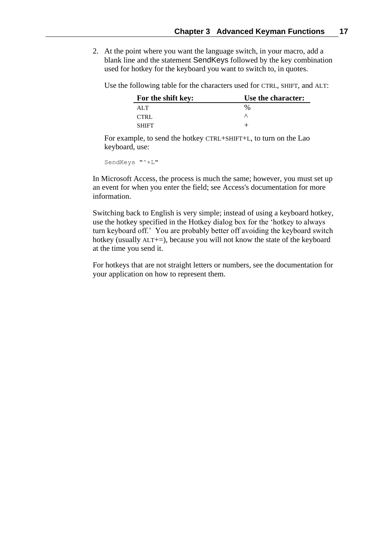2. At the point where you want the language switch, in your macro, add a blank line and the statement SendKeys followed by the key combination used for hotkey for the keyboard you want to switch to, in quotes.

Use the following table for the characters used for CTRL, SHIFT, and ALT:

| For the shift key: | Use the character: |
|--------------------|--------------------|
| ALT                | $\%$               |
| CTRL               |                    |
| <b>SHIFT</b>       |                    |

For example, to send the hotkey CTRL+SHIFT+L, to turn on the Lao keyboard, use:

SendKeys "^+L"

In Microsoft Access, the process is much the same; however, you must set up an event for when you enter the field; see Access's documentation for more information.

Switching back to English is very simple; instead of using a keyboard hotkey, use the hotkey specified in the Hotkey dialog box for the 'hotkey to always turn keyboard off.' You are probably better off avoiding the keyboard switch hotkey (usually  $ALT+=$ ), because you will not know the state of the keyboard at the time you send it.

For hotkeys that are not straight letters or numbers, see the documentation for your application on how to represent them.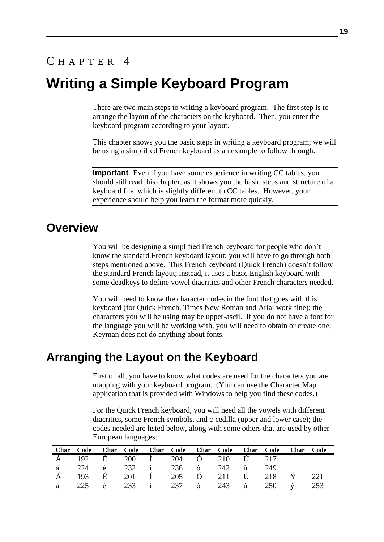## CHAPTER 4

# **Writing a Simple Keyboard Program**

There are two main steps to writing a keyboard program. The first step is to arrange the layout of the characters on the keyboard. Then, you enter the keyboard program according to your layout.

This chapter shows you the basic steps in writing a keyboard program; we will be using a simplified French keyboard as an example to follow through.

**Important** Even if you have some experience in writing CC tables, you should still read this chapter, as it shows you the basic steps and structure of a keyboard file, which is slightly different to CC tables. However, your experience should help you learn the format more quickly.

## **Overview**

You will be designing a simplified French keyboard for people who don't know the standard French keyboard layout; you will have to go through both steps mentioned above. This French keyboard (Quick French) doesn't follow the standard French layout; instead, it uses a basic English keyboard with some deadkeys to define vowel diacritics and other French characters needed.

You will need to know the character codes in the font that goes with this keyboard (for Quick French, Times New Roman and Arial work fine); the characters you will be using may be upper-ascii. If you do not have a font for the language you will be working with, you will need to obtain or create one; Keyman does not do anything about fonts.

# **Arranging the Layout on the Keyboard**

First of all, you have to know what codes are used for the characters you are mapping with your keyboard program. (You can use the Character Map application that is provided with Windows to help you find these codes.)

For the Quick French keyboard, you will need all the vowels with different diacritics, some French symbols, and c-cedilla (upper and lower case); the codes needed are listed below, along with some others that are used by other European languages:

|                               |  |  |  | Char Code Char Code Char Code Char Code Char Code Char Code |  |
|-------------------------------|--|--|--|-------------------------------------------------------------|--|
| À 192 È 200 Ì 204 Ò 210 Ù 217 |  |  |  |                                                             |  |
| à 224 è 232 ì 236 ò 242 ù 249 |  |  |  |                                                             |  |
|                               |  |  |  | Á 193 É 201 Í 205 Ó 211 Ú 218 Ý 221                         |  |
|                               |  |  |  | á 225 é 233 í 237 ó 243 ú 250 ý 253                         |  |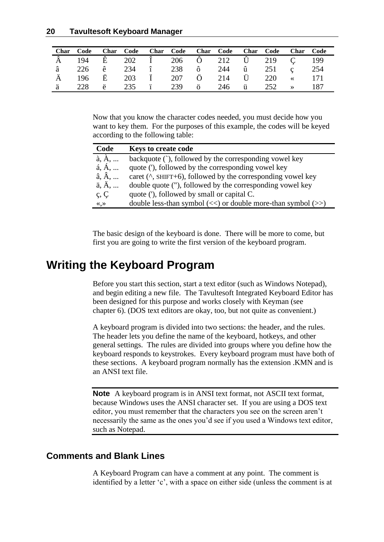|  |  |  |  | Char Code Char Code Char Code Char Code Char Code Char Code |  |
|--|--|--|--|-------------------------------------------------------------|--|
|  |  |  |  | 194 Ê 202 Î 206 Ô 212 Û 219 C 199                           |  |
|  |  |  |  | â 226 ê 234 î 238 ô 244 û 251 c 254                         |  |
|  |  |  |  | Ä 196 Ë 203 Ï 207 Ö 214 Ü 220 « 171                         |  |
|  |  |  |  | ä 228 ë 235 ï 239 ö 246 ü 252 » 187                         |  |

Now that you know the character codes needed, you must decide how you want to key them. For the purposes of this example, the codes will be keyed according to the following table:

| Code                                | Keys to create code                                                |
|-------------------------------------|--------------------------------------------------------------------|
| $\lambda$ , $\lambda$ ,             | backquote (`), followed by the corresponding vowel key             |
| $\acute{a}, \acute{A}, \dots$       | quote ('), followed by the corresponding vowel key                 |
| $\hat{a}, \hat{A}, \dots$           | caret $(\land,$ SHIFT+6), followed by the corresponding vowel key  |
| $\ddot{a}, \ddot{A}, \ldots$        | double quote ("), followed by the corresponding vowel key          |
| $\varrho, \varrho$                  | quote ('), followed by small or capital C.                         |
| $\langle \langle , \rangle \rangle$ | double less-than symbol $(\ll)$ or double more-than symbol $(\gg)$ |

The basic design of the keyboard is done. There will be more to come, but first you are going to write the first version of the keyboard program.

# **Writing the Keyboard Program**

Before you start this section, start a text editor (such as Windows Notepad), and begin editing a new file. The Tavultesoft Integrated Keyboard Editor has been designed for this purpose and works closely with Keyman (see chapter 6). (DOS text editors are okay, too, but not quite as convenient.)

A keyboard program is divided into two sections: the header, and the rules. The header lets you define the name of the keyboard, hotkeys, and other general settings. The rules are divided into groups where you define how the keyboard responds to keystrokes. Every keyboard program must have both of these sections. A keyboard program normally has the extension .KMN and is an ANSI text file.

**Note** A keyboard program is in ANSI text format, not ASCII text format, because Windows uses the ANSI character set. If you are using a DOS text editor, you must remember that the characters you see on the screen aren't necessarily the same as the ones you'd see if you used a Windows text editor, such as Notepad.

### **Comments and Blank Lines**

A Keyboard Program can have a comment at any point. The comment is identified by a letter 'c', with a space on either side (unless the comment is at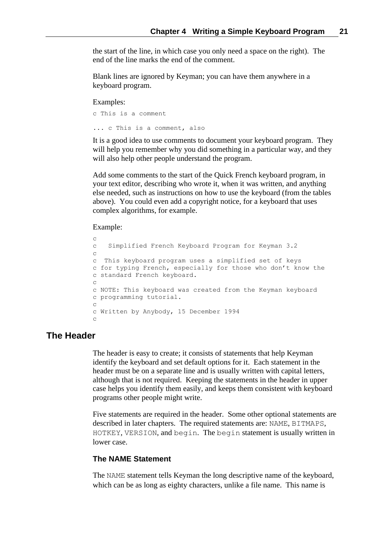the start of the line, in which case you only need a space on the right). The end of the line marks the end of the comment.

Blank lines are ignored by Keyman; you can have them anywhere in a keyboard program.

Examples:

c This is a comment ... c This is a comment, also

It is a good idea to use comments to document your keyboard program. They will help you remember why you did something in a particular way, and they will also help other people understand the program.

Add some comments to the start of the Quick French keyboard program, in your text editor, describing who wrote it, when it was written, and anything else needed, such as instructions on how to use the keyboard (from the tables above). You could even add a copyright notice, for a keyboard that uses complex algorithms, for example.

Example:

```
c
c Simplified French Keyboard Program for Keyman 3.2
\mathcal{C}c This keyboard program uses a simplified set of keys
c for typing French, especially for those who don't know the
c standard French keyboard.
\Gammac NOTE: This keyboard was created from the Keyman keyboard
c programming tutorial.
\Gammac Written by Anybody, 15 December 1994
c
```
### **The Header**

The header is easy to create; it consists of statements that help Keyman identify the keyboard and set default options for it. Each statement in the header must be on a separate line and is usually written with capital letters, although that is not required. Keeping the statements in the header in upper case helps you identify them easily, and keeps them consistent with keyboard programs other people might write.

Five statements are required in the header. Some other optional statements are described in later chapters. The required statements are: NAME, BITMAPS, HOTKEY, VERSION, and begin. The begin statement is usually written in lower case.

### **The NAME Statement**

The NAME statement tells Keyman the long descriptive name of the keyboard, which can be as long as eighty characters, unlike a file name. This name is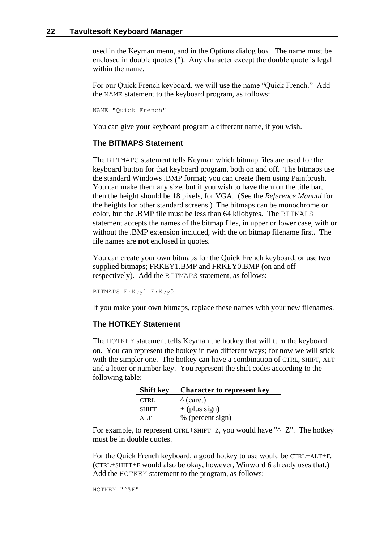used in the Keyman menu, and in the Options dialog box. The name must be enclosed in double quotes ("). Any character except the double quote is legal within the name.

For our Quick French keyboard, we will use the name "Quick French." Add the NAME statement to the keyboard program, as follows:

NAME "Quick French"

You can give your keyboard program a different name, if you wish.

### **The BITMAPS Statement**

The BITMAPS statement tells Keyman which bitmap files are used for the keyboard button for that keyboard program, both on and off. The bitmaps use the standard Windows .BMP format; you can create them using Paintbrush. You can make them any size, but if you wish to have them on the title bar, then the height should be 18 pixels, for VGA. (See the *Reference Manual* for the heights for other standard screens.) The bitmaps can be monochrome or color, but the .BMP file must be less than 64 kilobytes. The BITMAPS statement accepts the names of the bitmap files, in upper or lower case, with or without the .BMP extension included, with the on bitmap filename first. The file names are **not** enclosed in quotes.

You can create your own bitmaps for the Quick French keyboard, or use two supplied bitmaps; FRKEY1.BMP and FRKEY0.BMP (on and off respectively). Add the BITMAPS statement, as follows:

BITMAPS FrKey1 FrKey0

If you make your own bitmaps, replace these names with your new filenames.

### **The HOTKEY Statement**

The HOTKEY statement tells Keyman the hotkey that will turn the keyboard on. You can represent the hotkey in two different ways; for now we will stick with the simpler one. The hotkey can have a combination of CTRL, SHIFT, ALT and a letter or number key. You represent the shift codes according to the following table:

| <b>Shift key</b> | <b>Character to represent key</b> |
|------------------|-----------------------------------|
| CTRL             | $\wedge$ (caret)                  |
| <b>SHIFT</b>     | $+$ (plus sign)                   |
| ATT              | % (percent sign)                  |

For example, to represent CTRL+SHIFT+Z, you would have " $\lambda$ +Z". The hotkey must be in double quotes.

For the Quick French keyboard, a good hotkey to use would be CTRL+ALT+F. (CTRL+SHIFT+F would also be okay, however, Winword 6 already uses that.) Add the HOTKEY statement to the program, as follows:

HOTKEY "^%F"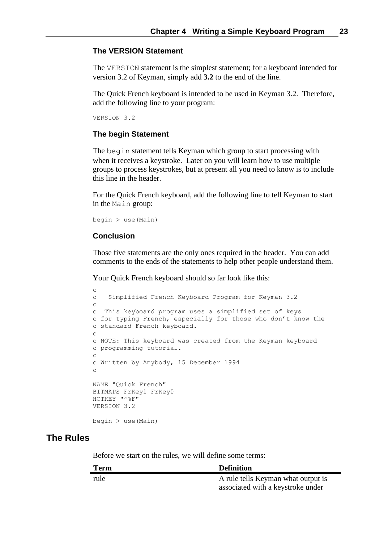#### **The VERSION Statement**

The VERSION statement is the simplest statement; for a keyboard intended for version 3.2 of Keyman, simply add **3.2** to the end of the line.

The Quick French keyboard is intended to be used in Keyman 3.2. Therefore, add the following line to your program:

VERSION 3.2

### **The begin Statement**

The begin statement tells Keyman which group to start processing with when it receives a keystroke. Later on you will learn how to use multiple groups to process keystrokes, but at present all you need to know is to include this line in the header.

For the Quick French keyboard, add the following line to tell Keyman to start in the Main group:

begin > use(Main)

### **Conclusion**

Those five statements are the only ones required in the header. You can add comments to the ends of the statements to help other people understand them.

Your Quick French keyboard should so far look like this:

```
\Gammac Simplified French Keyboard Program for Keyman 3.2
\Gammac This keyboard program uses a simplified set of keys
c for typing French, especially for those who don't know the
c standard French keyboard.
c
c NOTE: This keyboard was created from the Keyman keyboard
c programming tutorial.
c
c Written by Anybody, 15 December 1994
c
NAME "Quick French"
BITMAPS FrKey1 FrKey0
HOTKEY "^%F"
VERSION 3.2
begin <math>begin</math>
```
### **The Rules**

Before we start on the rules, we will define some terms:

| Term | <b>Definition</b>                  |
|------|------------------------------------|
| rule | A rule tells Keyman what output is |
|      | associated with a keystroke under  |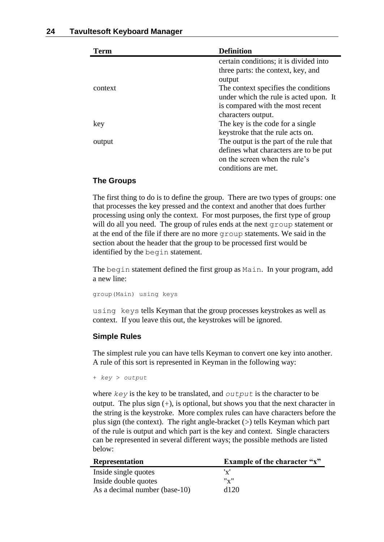| <b>Term</b> | <b>Definition</b>                       |
|-------------|-----------------------------------------|
|             | certain conditions; it is divided into  |
|             | three parts: the context, key, and      |
|             | output                                  |
| context     | The context specifies the conditions    |
|             | under which the rule is acted upon. It  |
|             | is compared with the most recent        |
|             | characters output.                      |
| key         | The key is the code for a single        |
|             | keystroke that the rule acts on.        |
| output      | The output is the part of the rule that |
|             | defines what characters are to be put   |
|             | on the screen when the rule's           |
|             | conditions are met.                     |
|             |                                         |

### **The Groups**

The first thing to do is to define the group. There are two types of groups: one that processes the key pressed and the context and another that does further processing using only the context. For most purposes, the first type of group will do all you need. The group of rules ends at the next group statement or at the end of the file if there are no more group statements. We said in the section about the header that the group to be processed first would be identified by the begin statement.

The begin statement defined the first group as Main. In your program, add a new line:

group(Main) using keys

using keys tells Keyman that the group processes keystrokes as well as context. If you leave this out, the keystrokes will be ignored.

### **Simple Rules**

The simplest rule you can have tells Keyman to convert one key into another. A rule of this sort is represented in Keyman in the following way:

```
+ key > output
```
where *key* is the key to be translated, and *output* is the character to be output. The plus sign (+), is optional, but shows you that the next character in the string is the keystroke. More complex rules can have characters before the plus sign (the context). The right angle-bracket (>) tells Keyman which part of the rule is output and which part is the key and context. Single characters can be represented in several different ways; the possible methods are listed below:

| <b>Representation</b>         | <b>Example of the character "x"</b> |
|-------------------------------|-------------------------------------|
| Inside single quotes          | $\mathbf{v}$                        |
| Inside double quotes          | $"$ $\mathbf{v}$ "                  |
| As a decimal number (base-10) | d120                                |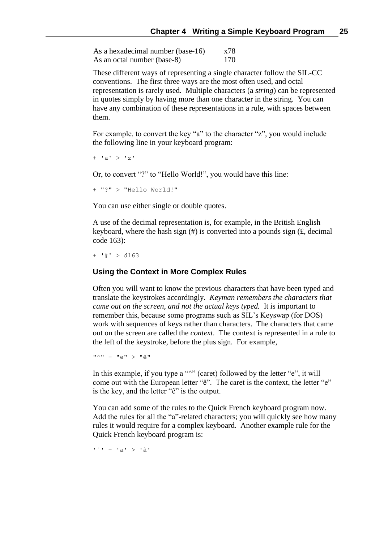As a hexadecimal number (base-16)  $x78$ As an octal number (base-8) 170

These different ways of representing a single character follow the SIL-CC conventions. The first three ways are the most often used, and octal representation is rarely used. Multiple characters (a *string*) can be represented in quotes simply by having more than one character in the string. You can have any combination of these representations in a rule, with spaces between them.

For example, to convert the key "a" to the character "z", you would include the following line in your keyboard program:

```
+ 'a' > 'z'
```
Or, to convert "?" to "Hello World!", you would have this line:

```
+ "?" > "Hello World!"
```
You can use either single or double quotes.

A use of the decimal representation is, for example, in the British English keyboard, where the hash sign  $(\#)$  is converted into a pounds sign  $(\pounds, \text{decimal})$ code 163):

+ '#' > d163

#### **Using the Context in More Complex Rules**

Often you will want to know the previous characters that have been typed and translate the keystrokes accordingly. *Keyman remembers the characters that came out on the screen, and not the actual keys typed.* It is important to remember this, because some programs such as SIL's Keyswap (for DOS) work with sequences of keys rather than characters. The characters that came out on the screen are called the *context*. The context is represented in a rule to the left of the keystroke, before the plus sign. For example,

```
^{\mathsf{H}} \wedge ^{\mathsf{H}} + ^{\mathsf{H}} \varphi ^{\mathsf{H}} \rightarrow ^{\mathsf{H}}\hat{\varphi} ^{\mathsf{H}}
```
In this example, if you type a " $\wedge$ " (caret) followed by the letter "e", it will come out with the European letter "ê". The caret is the context, the letter "e" is the key, and the letter "ê" is the output.

You can add some of the rules to the Quick French keyboard program now. Add the rules for all the "a"-related characters; you will quickly see how many rules it would require for a complex keyboard. Another example rule for the Quick French keyboard program is:

'`' + 'a' > 'à'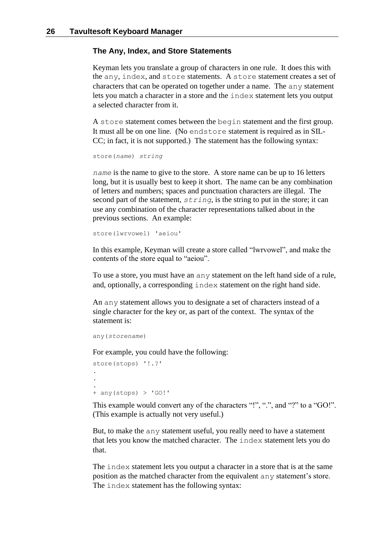### **The Any, Index, and Store Statements**

Keyman lets you translate a group of characters in one rule. It does this with the any, index, and store statements. A store statement creates a set of characters that can be operated on together under a name. The any statement lets you match a character in a store and the index statement lets you output a selected character from it.

A store statement comes between the begin statement and the first group. It must all be on one line. (No endstore statement is required as in SIL-CC; in fact, it is not supported.) The statement has the following syntax:

```
store(name) string
```
*name* is the name to give to the store. A store name can be up to 16 letters long, but it is usually best to keep it short. The name can be any combination of letters and numbers; spaces and punctuation characters are illegal. The second part of the statement, *string*, is the string to put in the store; it can use any combination of the character representations talked about in the previous sections. An example:

```
store(lwrvowel) 'aeiou'
```
In this example, Keyman will create a store called "lwrvowel", and make the contents of the store equal to "aeiou".

To use a store, you must have an any statement on the left hand side of a rule, and, optionally, a corresponding index statement on the right hand side.

An any statement allows you to designate a set of characters instead of a single character for the key or, as part of the context. The syntax of the statement is:

```
any(storename)
```
For example, you could have the following:

```
store(stops) '!.?'
.
.
.
+ any(stops) > 'GO!'
```
This example would convert any of the characters "!", ".", and "?" to a "GO!". (This example is actually not very useful.)

But, to make the any statement useful, you really need to have a statement that lets you know the matched character. The index statement lets you do that.

The index statement lets you output a character in a store that is at the same position as the matched character from the equivalent any statement's store. The index statement has the following syntax: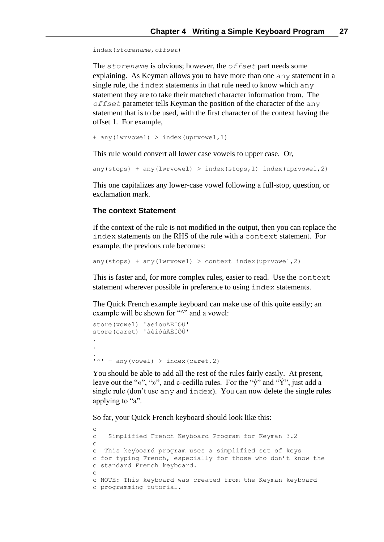```
index(storename,offset)
```
The *storename* is obvious; however, the *offset* part needs some explaining. As Keyman allows you to have more than one any statement in a single rule, the index statements in that rule need to know which any statement they are to take their matched character information from. The *offset* parameter tells Keyman the position of the character of the any statement that is to be used, with the first character of the context having the offset 1. For example,

```
+ any(lwrvowel) > index(uprvowel,1)
```
This rule would convert all lower case vowels to upper case. Or,

any(stops) + any(lwrvowel) > index(stops, 1) index(uprvowel, 2)

This one capitalizes any lower-case vowel following a full-stop, question, or exclamation mark.

### **The context Statement**

If the context of the rule is not modified in the output, then you can replace the index statements on the RHS of the rule with a context statement. For example, the previous rule becomes:

any(stops) + any(lwrvowel) > context index(uprvowel, 2)

This is faster and, for more complex rules, easier to read. Use the context statement wherever possible in preference to using index statements.

The Quick French example keyboard can make use of this quite easily; an example will be shown for "^" and a vowel:

```
store(vowel) 'aeiouAEIOU'
store(caret) 'âêîôûÂÊÎÔÛ'
.
.
.
' + any(vowel) > index(caret, 2)
```
You should be able to add all the rest of the rules fairly easily. At present, leave out the "«", "»", and c-cedilla rules. For the "ý" and "Ý", just add a single rule (don't use any and index). You can now delete the single rules applying to "a".

So far, your Quick French keyboard should look like this:

```
\overline{C}c Simplified French Keyboard Program for Keyman 3.2
\overline{C}c This keyboard program uses a simplified set of keys
c for typing French, especially for those who don't know the
c standard French keyboard.
c
c NOTE: This keyboard was created from the Keyman keyboard
c programming tutorial.
```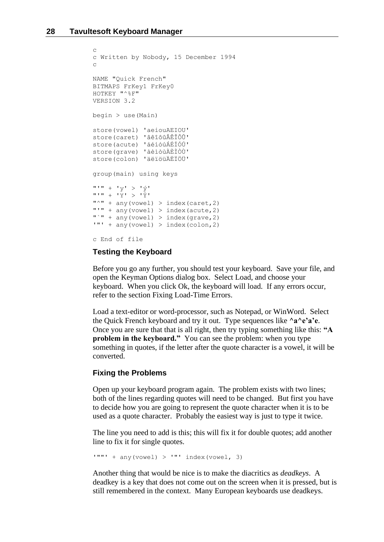```
\capc Written by Nobody, 15 December 1994
\mathcal{C}NAME "Quick French"
BITMAPS FrKey1 FrKey0
HOTKEY "^%F"
VERSION 3.2
begin > use (Main)
store(vowel) 'aeiouAEIOU'
store(caret) 'âêîôûÂÊÎÔÛ'
store(acute) 'áéíóúÁÉÍÓÚ'
store (grave) 'àèiòùÀÈÌÒÙ'
store(colon) 'äëïöüÄËÏÖÜ'
group (main) using keys
T \ddot{V}<sup>1</sup> \leq T \ddot{V}<sup>1</sup> + T \ddot{V}<sup>1</sup>
\begin{array}{ccccccccc} \textbf{u} & \textbf{u} & \textbf{u} & \textbf{v} & \textbf{v} & \textbf{v} & \textbf{v} & \textbf{v} & \textbf{v} & \textbf{v} & \textbf{v} & \textbf{v} & \textbf{v} & \textbf{v} & \textbf{v} & \textbf{v} & \textbf{v} & \textbf{v} & \textbf{v} & \textbf{v} & \textbf{v} & \textbf{v} & \textbf{v} & \textbf{v} & \textbf{v} & \textbf{v} & \textbf{v} & \textbf{v} & \textbf{v} & \textbf{v} & \"^" + any(vowel) > index(caret, 2)"'" + any(vowel) > index(acute, 2)"'" + any(vowel) > index(graw, 2)1" + any(vowel) > index(colon, 2)c End of file
```
### **Testing the Keyboard**

Before you go any further, you should test your keyboard. Save your file, and open the Keyman Options dialog box. Select Load, and choose your keyboard. When you click Ok, the keyboard will load. If any errors occur, refer to the section Fixing Load-Time Errors.

Load a text-editor or word-processor, such as Notepad, or WinWord. Select the Quick French keyboard and try it out. Type sequences like  $\alpha \cdot a \cdot e$  a' e. Once you are sure that that is all right, then try typing something like this: "A **problem in the keyboard.**" You can see the problem: when you type something in quotes, if the letter after the quote character is a vowel, it will be converted.

### **Fixing the Problems**

Open up your keyboard program again. The problem exists with two lines; both of the lines regarding quotes will need to be changed. But first you have to decide how you are going to represent the quote character when it is to be used as a quote character. Probably the easiest way is just to type it twice.

The line you need to add is this; this will fix it for double quotes; add another line to fix it for single quotes.

 $1$ ""' + any (vowel) > '"' index (vowel, 3)

Another thing that would be nice is to make the diacritics as *deadkeys*. A deadkey is a key that does not come out on the screen when it is pressed, but is still remembered in the context. Many European keyboards use deadkeys.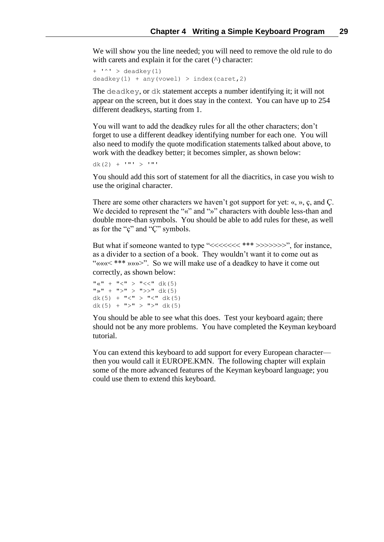We will show you the line needed; you will need to remove the old rule to do with carets and explain it for the caret ( $\land$ ) character:

```
+ '' > deadkey(1)
deadkey(1) + any(vowel) > index(caret, 2)
```
The deadkey, or dk statement accepts a number identifying it; it will not appear on the screen, but it does stay in the context. You can have up to 254 different deadkeys, starting from 1.

You will want to add the deadkey rules for all the other characters; don't forget to use a different deadkey identifying number for each one. You will also need to modify the quote modification statements talked about above, to work with the deadkey better; it becomes simpler, as shown below:

```
dk(2) + ''''' > '''''
```
You should add this sort of statement for all the diacritics, in case you wish to use the original character.

There are some other characters we haven't got support for yet: «, », ç, and Ç. We decided to represent the "«" and "»" characters with double less-than and double more-than symbols. You should be able to add rules for these, as well as for the "ç" and "Ç" symbols.

But what if someone wanted to type "<<<<<<<<<<< \*\*\* >>>>>>>>>>>", for instance, as a divider to a section of a book. They wouldn't want it to come out as "«««< \*\*\* »»»>". So we will make use of a deadkey to have it come out correctly, as shown below:

```
"«" + "\langle" > "\langle "\langle" dk(5)
">" + ">" > ">>" dk(5)
dk(5) + "\langle" > "\langle" dk(5)
dk(5) + ">" > ">" dk(5)
```
You should be able to see what this does. Test your keyboard again; there should not be any more problems. You have completed the Keyman keyboard tutorial.

You can extend this keyboard to add support for every European character then you would call it EUROPE.KMN. The following chapter will explain some of the more advanced features of the Keyman keyboard language; you could use them to extend this keyboard.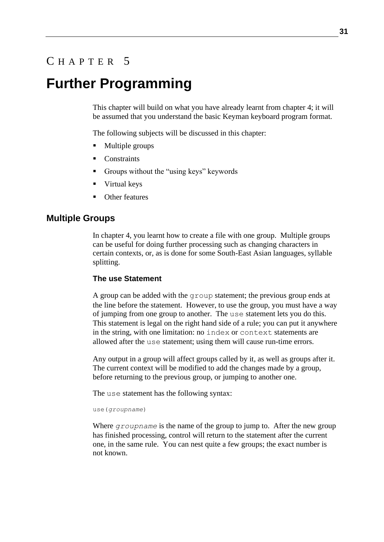# C H A P T E R 5

# **Further Programming**

This chapter will build on what you have already learnt from chapter 4; it will be assumed that you understand the basic Keyman keyboard program format.

The following subjects will be discussed in this chapter:

- Multiple groups
- Constraints
- Groups without the "using keys" keywords
- Virtual keys
- **Other features**

### **Multiple Groups**

In chapter 4, you learnt how to create a file with one group. Multiple groups can be useful for doing further processing such as changing characters in certain contexts, or, as is done for some South-East Asian languages, syllable splitting.

### **The use Statement**

A group can be added with the group statement; the previous group ends at the line before the statement. However, to use the group, you must have a way of jumping from one group to another. The use statement lets you do this. This statement is legal on the right hand side of a rule; you can put it anywhere in the string, with one limitation: no index or context statements are allowed after the use statement; using them will cause run-time errors.

Any output in a group will affect groups called by it, as well as groups after it. The current context will be modified to add the changes made by a group, before returning to the previous group, or jumping to another one.

The use statement has the following syntax:

#### use(*groupname*)

Where *groupname* is the name of the group to jump to. After the new group has finished processing, control will return to the statement after the current one, in the same rule. You can nest quite a few groups; the exact number is not known.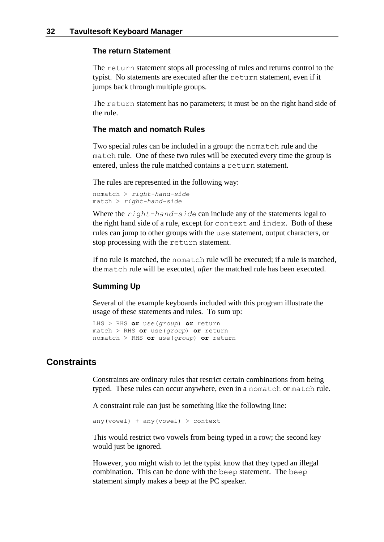### **The return Statement**

The return statement stops all processing of rules and returns control to the typist. No statements are executed after the return statement, even if it jumps back through multiple groups.

The return statement has no parameters; it must be on the right hand side of the rule.

### **The match and nomatch Rules**

Two special rules can be included in a group: the nomatch rule and the match rule. One of these two rules will be executed every time the group is entered, unless the rule matched contains a return statement.

The rules are represented in the following way:

nomatch > *right-hand-side* match > *right-hand-side*

Where the *right-hand-side* can include any of the statements legal to the right hand side of a rule, except for context and index. Both of these rules can jump to other groups with the use statement, output characters, or stop processing with the return statement.

If no rule is matched, the nomatch rule will be executed; if a rule is matched, the match rule will be executed, *after* the matched rule has been executed.

### **Summing Up**

Several of the example keyboards included with this program illustrate the usage of these statements and rules. To sum up:

```
LHS > RHS or use(group) or return
match > RHS or use(group) or return
nomatch > RHS or use(group) or return
```
### **Constraints**

Constraints are ordinary rules that restrict certain combinations from being typed. These rules can occur anywhere, even in a nomatch or match rule.

A constraint rule can just be something like the following line:

any(vowel) + any(vowel) > context

This would restrict two vowels from being typed in a row; the second key would just be ignored.

However, you might wish to let the typist know that they typed an illegal combination. This can be done with the beep statement. The beep statement simply makes a beep at the PC speaker.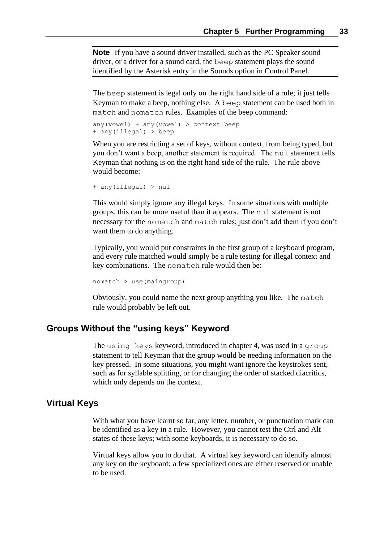**Note** If you have a sound driver installed, such as the PC Speaker sound driver, or a driver for a sound card, the beep statement plays the sound identified by the Asterisk entry in the Sounds option in Control Panel.

The beep statement is legal only on the right hand side of a rule; it just tells Keyman to make a beep, nothing else. A beep statement can be used both in match and nomatch rules. Examples of the beep command:

```
any(vowel) + any(vowel) > context beep
+ any(illegal) > beep
```
When you are restricting a set of keys, without context, from being typed, but you don't want a beep, another statement is required. The nul statement tells Keyman that nothing is on the right hand side of the rule. The rule above would become:

```
+ any(illegal) > nul
```
This would simply ignore any illegal keys. In some situations with multiple groups, this can be more useful than it appears. The nul statement is not necessary for the nomatch and match rules; just don't add them if you don't want them to do anything.

Typically, you would put constraints in the first group of a keyboard program, and every rule matched would simply be a rule testing for illegal context and key combinations. The nomatch rule would then be:

```
nomatch > use(maingroup)
```
Obviously, you could name the next group anything you like. The match rule would probably be left out.

### **Groups Without the "using keys" Keyword**

The using keys keyword, introduced in chapter 4, was used in a group statement to tell Keyman that the group would be needing information on the key pressed. In some situations, you might want ignore the keystrokes sent, such as for syllable splitting, or for changing the order of stacked diacritics, which only depends on the context.

### **Virtual Keys**

With what you have learnt so far, any letter, number, or punctuation mark can be identified as a key in a rule. However, you cannot test the Ctrl and Alt states of these keys; with some keyboards, it is necessary to do so.

Virtual keys allow you to do that. A virtual key keyword can identify almost any key on the keyboard; a few specialized ones are either reserved or unable to be used.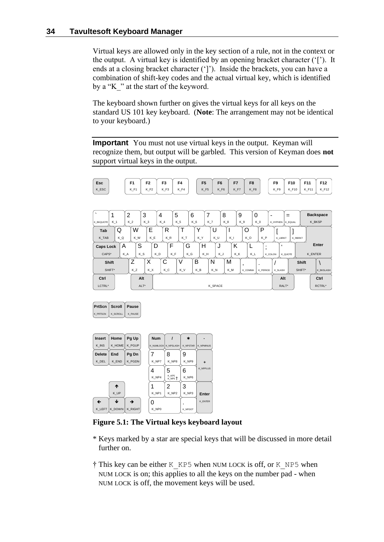Virtual keys are allowed only in the key section of a rule, not in the context or the output. A virtual key is identified by an opening bracket character ('['). It ends at a closing bracket character (']'). Inside the brackets, you can have a combination of shift-key codes and the actual virtual key, which is identified by a "K\_" at the start of the keyword.

The keyboard shown further on gives the virtual keys for all keys on the standard US 101 key keyboard. (**Note**: The arrangement may not be identical to your keyboard.)

**Important** You must not use virtual keys in the output. Keyman will recognize them, but output will be garbled. This version of Keyman does **not** support virtual keys in the output.



| PrtScn Scroll   |                 | ∣ Pause        |
|-----------------|-----------------|----------------|
| <b>K PRTSCN</b> | <b>K SCROLL</b> | <b>K PAUSE</b> |

| <b>Insert</b> | Home   | Pg Up   | <b>Num</b>          |                             | ∗               |                  |
|---------------|--------|---------|---------------------|-----------------------------|-----------------|------------------|
| K_INS         | K_HOME | K PGUP  | K_NUMLOCK K_NPSLASH |                             | <b>K_NPSTAR</b> | <b>K_NPMINUS</b> |
| <b>Delete</b> | End    | Pg Dn   |                     | 8                           | 9               |                  |
| K_DEL         | K_END  | K_PGDN  | K_NP7               | K_NP8                       | K_NP9           | ٠                |
|               |        |         |                     | 5                           | 6               | <b>K_NPPLUS</b>  |
|               |        |         | K NP4               | K_KP5<br>K_NP5 <sup>+</sup> | K NP6           |                  |
|               | ᠰ      |         |                     | 2                           | 3               |                  |
|               | K UP   |         | K_NP1               | K_NP2                       | K NP3           | Enter            |
| $\leftarrow$  | ↓      | →       | 0                   |                             |                 | <b>K_ENTER</b>   |
| K LEFT        | K_DOWN | K RIGHT | K_NP0               |                             | K_NPDOT         |                  |

### **Figure 5.1: The Virtual keys keyboard layout**

- \* Keys marked by a star are special keys that will be discussed in more detail further on.
- † This key can be either K\_KP5 when NUM LOCK is off, or K\_NP5 when NUM LOCK is on; this applies to all the keys on the number pad - when NUM LOCK is off, the movement keys will be used.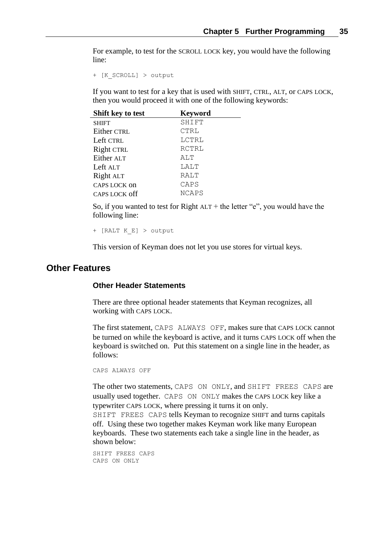For example, to test for the SCROLL LOCK key, you would have the following line:

+ [K\_SCROLL] > output

If you want to test for a key that is used with SHIFT, CTRL, ALT, or CAPS LOCK, then you would proceed it with one of the following keywords:

| Shift key to test | <b>Keyword</b> |
|-------------------|----------------|
| <b>SHIFT</b>      | SHIFT          |
| Either CTRL       | CTRL           |
| Left CTRL         | LCTRL          |
| <b>Right CTRL</b> | RCTRL          |
| Either ALT        | ALT            |
| Left ALT          | LALT           |
| Right ALT         | RALT           |
| CAPS LOCK on      | CAPS           |
| CAPS LOCK off     | NCAPS          |

So, if you wanted to test for Right  $ALT +$  the letter "e", you would have the following line:

+ [RALT K\_E] > output

This version of Keyman does not let you use stores for virtual keys.

### **Other Features**

### **Other Header Statements**

There are three optional header statements that Keyman recognizes, all working with CAPS LOCK.

The first statement, CAPS ALWAYS OFF, makes sure that CAPS LOCK cannot be turned on while the keyboard is active, and it turns CAPS LOCK off when the keyboard is switched on. Put this statement on a single line in the header, as follows:

CAPS ALWAYS OFF

The other two statements, CAPS ON ONLY, and SHIFT FREES CAPS are usually used together. CAPS ON ONLY makes the CAPS LOCK key like a typewriter CAPS LOCK, where pressing it turns it on only.

SHIFT FREES CAPS tells Keyman to recognize SHIFT and turns capitals off. Using these two together makes Keyman work like many European keyboards. These two statements each take a single line in the header, as shown below:

SHIFT FREES CAPS CAPS ON ONLY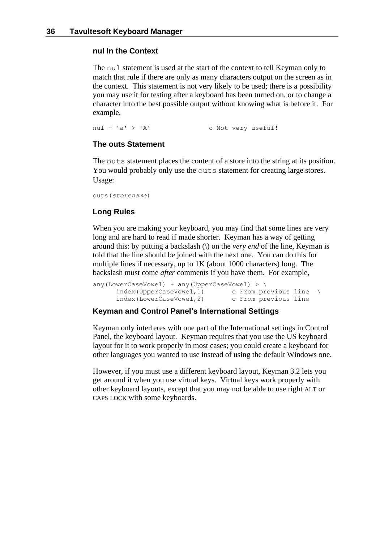### **nul In the Context**

The nul statement is used at the start of the context to tell Keyman only to match that rule if there are only as many characters output on the screen as in the context. This statement is not very likely to be used; there is a possibility you may use it for testing after a keyboard has been turned on, or to change a character into the best possible output without knowing what is before it. For example,

nul + 'a' > 'A' c Not very useful!

### **The outs Statement**

The outs statement places the content of a store into the string at its position. You would probably only use the outs statement for creating large stores. Usage:

```
outs(storename)
```
### **Long Rules**

When you are making your keyboard, you may find that some lines are very long and are hard to read if made shorter. Keyman has a way of getting around this: by putting a backslash (\) on the *very end* of the line, Keyman is told that the line should be joined with the next one. You can do this for multiple lines if necessary, up to 1K (about 1000 characters) long. The backslash must come *after* comments if you have them. For example,

```
any(LowerCaseVowel) + any(UpperCaseVowel) > \
     index(UpperCaseVowel,1) c From previous line \
     index(LowerCaseVowel,2) c From previous line
```
### **Keyman and Control Panel's International Settings**

Keyman only interferes with one part of the International settings in Control Panel, the keyboard layout. Keyman requires that you use the US keyboard layout for it to work properly in most cases; you could create a keyboard for other languages you wanted to use instead of using the default Windows one.

However, if you must use a different keyboard layout, Keyman 3.2 lets you get around it when you use virtual keys. Virtual keys work properly with other keyboard layouts, except that you may not be able to use right ALT or CAPS LOCK with some keyboards.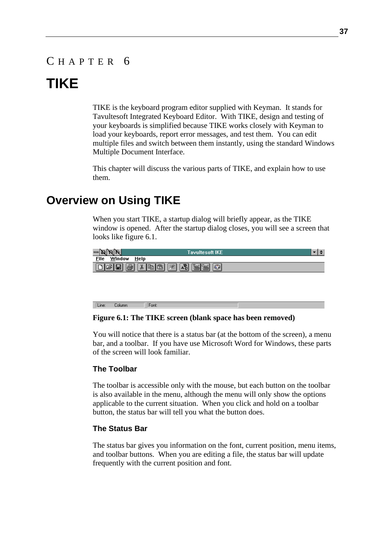# CHAPTER 6

# **TIKE**

TIKE is the keyboard program editor supplied with Keyman. It stands for Tavultesoft Integrated Keyboard Editor. With TIKE, design and testing of your keyboards is simplified because TIKE works closely with Keyman to load your keyboards, report error messages, and test them. You can edit multiple files and switch between them instantly, using the standard Windows Multiple Document Interface.

This chapter will discuss the various parts of TIKE, and explain how to use them.

# **Overview on Using TIKE**

When you start TIKE, a startup dialog will briefly appear, as the TIKE window is opened. After the startup dialog closes, you will see a screen that looks like figure 6.1.

|                               | Tavultesoft IKF          |  |
|-------------------------------|--------------------------|--|
| <u>F</u> ile<br><b>Window</b> | Help                     |  |
| E.                            | ⊥,∾∾<br><b>HAWW</b><br>▦ |  |

**Figure 6.1: The TIKE screen (blank space has been removed)**

You will notice that there is a status bar (at the bottom of the screen), a menu bar, and a toolbar. If you have use Microsoft Word for Windows, these parts of the screen will look familiar.

### **The Toolbar**

Line: Column:

 $\sqrt{\frac{1}{2}}$  Font:

The toolbar is accessible only with the mouse, but each button on the toolbar is also available in the menu, although the menu will only show the options applicable to the current situation. When you click and hold on a toolbar button, the status bar will tell you what the button does.

### **The Status Bar**

The status bar gives you information on the font, current position, menu items, and toolbar buttons. When you are editing a file, the status bar will update frequently with the current position and font.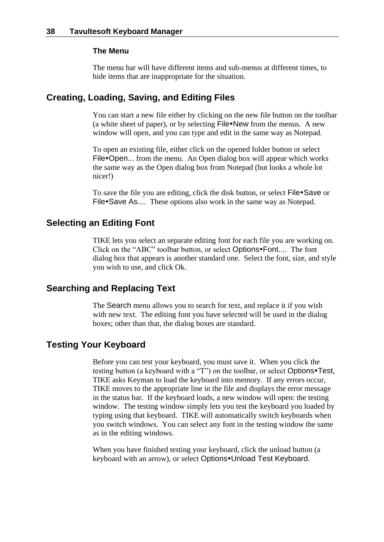### **The Menu**

The menu bar will have different items and sub-menus at different times, to hide items that are inappropriate for the situation.

### **Creating, Loading, Saving, and Editing Files**

You can start a new file either by clicking on the new file button on the toolbar (a white sheet of paper), or by selecting  $\mathsf{File} \cdot \mathsf{New}$  from the menus. A new window will open, and you can type and edit in the same way as Notepad.

To open an existing file, either click on the opened folder button or select File Open... from the menu. An Open dialog box will appear which works the same way as the Open dialog box from Notepad (but looks a whole lot nicer!)

To save the file you are editing, click the disk button, or select File • Save or File•Save As.... These options also work in the same way as Notepad.

### **Selecting an Editing Font**

TIKE lets you select an separate editing font for each file you are working on. Click on the "ABC" toolbar button, or select Options. Font.... The font dialog box that appears is another standard one. Select the font, size, and style you wish to use, and click Ok.

### **Searching and Replacing Text**

The Search menu allows you to search for text, and replace it if you wish with new text. The editing font you have selected will be used in the dialog boxes; other than that, the dialog boxes are standard.

### **Testing Your Keyboard**

Before you can test your keyboard, you must save it. When you click the testing button (a keyboard with a "T") on the toolbar, or select Options. Test, TIKE asks Keyman to load the keyboard into memory. If any errors occur, TIKE moves to the appropriate line in the file and displays the error message in the status bar. If the keyboard loads, a new window will open: the testing window. The testing window simply lets you test the keyboard you loaded by typing using that keyboard. TIKE will automatically switch keyboards when you switch windows. You can select any font in the testing window the same as in the editing windows.

When you have finished testing your keyboard, click the unload button (a keyboard with an arrow), or select Options. Unload Test Keyboard.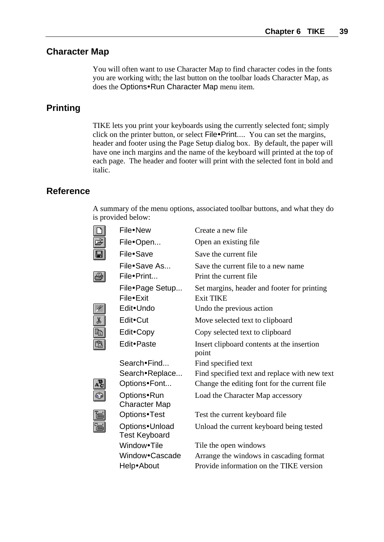### **Character Map**

You will often want to use Character Map to find character codes in the fonts you are working with; the last button on the toolbar loads Character Map, as does the Options.Run Character Map menu item.

### **Printing**

TIKE lets you print your keyboards using the currently selected font; simply click on the printer button, or select File Print.... You can set the margins, header and footer using the Page Setup dialog box. By default, the paper will have one inch margins and the name of the keyboard will printed at the top of each page. The header and footer will print with the selected font in bold and italic.

### **Reference**

A summary of the menu options, associated toolbar buttons, and what they do is provided below:

|    | File•New                               | Create a new file                                               |
|----|----------------------------------------|-----------------------------------------------------------------|
|    | File•Open                              | Open an existing file                                           |
|    | File•Save                              | Save the current file                                           |
|    | File•Save As<br>File•Print             | Save the current file to a new name<br>Print the current file   |
|    | File • Page Setup<br>File•Exit         | Set margins, header and footer for printing<br><b>Exit TIKE</b> |
|    | Edit•Undo                              | Undo the previous action                                        |
| ¥, | Edit•Cut                               | Move selected text to clipboard                                 |
| þ  | Edit•Copy                              | Copy selected text to clipboard                                 |
| â  | Edit•Paste                             | Insert clipboard contents at the insertion<br>point             |
|    | Search•Find                            | Find specified text                                             |
|    | Search•Replace                         | Find specified text and replace with new text                   |
|    | Options•Font                           | Change the editing font for the current file                    |
|    | Options•Run<br><b>Character Map</b>    | Load the Character Map accessory                                |
| 礛  | Options•Test                           | Test the current keyboard file                                  |
|    | Options•Unload<br><b>Test Keyboard</b> | Unload the current keyboard being tested                        |
|    | Window•Tile                            | Tile the open windows                                           |
|    | Window•Cascade                         | Arrange the windows in cascading format                         |
|    | Help•About                             | Provide information on the TIKE version                         |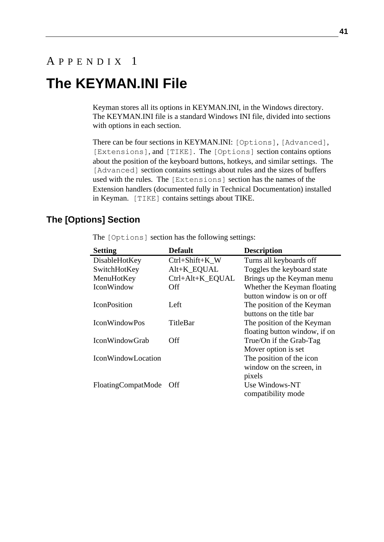## A P P E N D I X 1

# **The KEYMAN.INI File**

Keyman stores all its options in KEYMAN.INI, in the Windows directory. The KEYMAN.INI file is a standard Windows INI file, divided into sections with options in each section.

There can be four sections in KEYMAN.INI: [Options], [Advanced], [Extensions], and [TIKE]. The [Options] section contains options about the position of the keyboard buttons, hotkeys, and similar settings. The [Advanced] section contains settings about rules and the sizes of buffers used with the rules. The [Extensions] section has the names of the Extension handlers (documented fully in Technical Documentation) installed in Keyman. [TIKE] contains settings about TIKE.

### **The [Options] Section**

| <b>Setting</b>            | <b>Default</b>   | <b>Description</b>            |
|---------------------------|------------------|-------------------------------|
| DisableHotKey             | Ctrl+Shift+K W   | Turns all keyboards off       |
| SwitchHotKey              | Alt+K_EQUAL      | Toggles the keyboard state    |
| MenuHotKey                | Ctrl+Alt+K_EQUAL | Brings up the Keyman menu     |
| <b>IconWindow</b>         | Off              | Whether the Keyman floating   |
|                           |                  | button window is on or off    |
| <b>IconPosition</b>       | Left             | The position of the Keyman    |
|                           |                  | buttons on the title bar      |
| <b>IconWindowPos</b>      | TitleBar         | The position of the Keyman    |
|                           |                  | floating button window, if on |
| <b>IconWindowGrab</b>     | Off              | True/On if the Grab-Tag       |
|                           |                  | Mover option is set           |
| <b>IconWindowLocation</b> |                  | The position of the icon      |
|                           |                  | window on the screen, in      |
|                           |                  | pixels                        |
| FloatingCompatMode        | <b>Off</b>       | Use Windows-NT                |
|                           |                  | compatibility mode            |

The [Options] section has the following settings: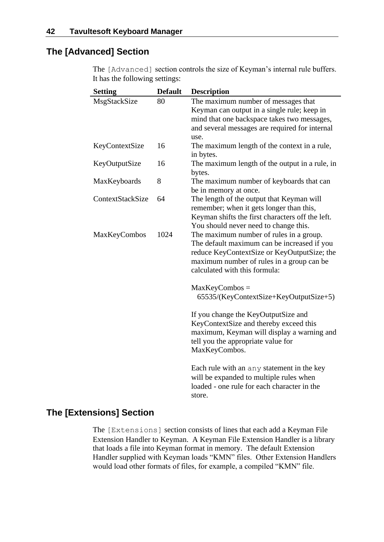### **The [Advanced] Section**

The [Advanced] section controls the size of Keyman's internal rule buffers. It has the following settings:

| <b>Setting</b>   | <b>Default</b> | <b>Description</b>                                                                                                                                                       |
|------------------|----------------|--------------------------------------------------------------------------------------------------------------------------------------------------------------------------|
| MsgStackSize     | 80             | The maximum number of messages that                                                                                                                                      |
|                  |                | Keyman can output in a single rule; keep in                                                                                                                              |
|                  |                | mind that one backspace takes two messages,                                                                                                                              |
|                  |                | and several messages are required for internal                                                                                                                           |
|                  |                | use.                                                                                                                                                                     |
| KeyContextSize   | 16             | The maximum length of the context in a rule,                                                                                                                             |
|                  |                | in bytes.                                                                                                                                                                |
| KeyOutputSize    | 16             | The maximum length of the output in a rule, in<br>bytes.                                                                                                                 |
| MaxKeyboards     | 8              | The maximum number of keyboards that can                                                                                                                                 |
|                  |                | be in memory at once.                                                                                                                                                    |
| ContextStackSize | 64             | The length of the output that Keyman will<br>remember; when it gets longer than this,                                                                                    |
|                  |                | Keyman shifts the first characters off the left.                                                                                                                         |
|                  |                | You should never need to change this.                                                                                                                                    |
| MaxKeyCombos     | 1024           | The maximum number of rules in a group.                                                                                                                                  |
|                  |                | The default maximum can be increased if you<br>reduce KeyContextSize or KeyOutputSize; the<br>maximum number of rules in a group can be<br>calculated with this formula: |
|                  |                |                                                                                                                                                                          |
|                  |                | $MaxKeyCombos =$                                                                                                                                                         |
|                  |                | 65535/(KeyContextSize+KeyOutputSize+5)                                                                                                                                   |
|                  |                | If you change the KeyOutputSize and<br>KeyContextSize and thereby exceed this<br>maximum, Keyman will display a warning and                                              |
|                  |                | tell you the appropriate value for<br>MaxKeyCombos.                                                                                                                      |
|                  |                | Each rule with an any statement in the key<br>will be expanded to multiple rules when<br>loaded - one rule for each character in the<br>store.                           |

### **The [Extensions] Section**

The [Extensions] section consists of lines that each add a Keyman File Extension Handler to Keyman. A Keyman File Extension Handler is a library that loads a file into Keyman format in memory. The default Extension Handler supplied with Keyman loads "KMN" files. Other Extension Handlers would load other formats of files, for example, a compiled "KMN" file.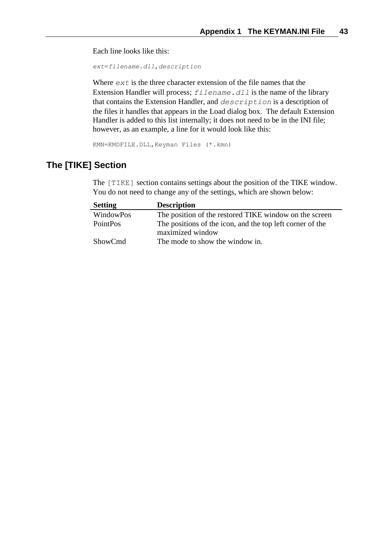Each line looks like this:

*ext*=*filename.dll*,*description*

Where *ext* is the three character extension of the file names that the Extension Handler will process; *filename.dll* is the name of the library that contains the Extension Handler, and *description* is a description of the files it handles that appears in the Load dialog box. The default Extension Handler is added to this list internally; it does not need to be in the INI file; however, as an example, a line for it would look like this:

KMN=KMDFILE.DLL,Keyman Files (\*.kmn)

### **The [TIKE] Section**

The [TIKE] section contains settings about the position of the TIKE window. You do not need to change any of the settings, which are shown below:

| The position of the restored TIKE window on the screen    |
|-----------------------------------------------------------|
| The positions of the icon, and the top left corner of the |
|                                                           |
|                                                           |
|                                                           |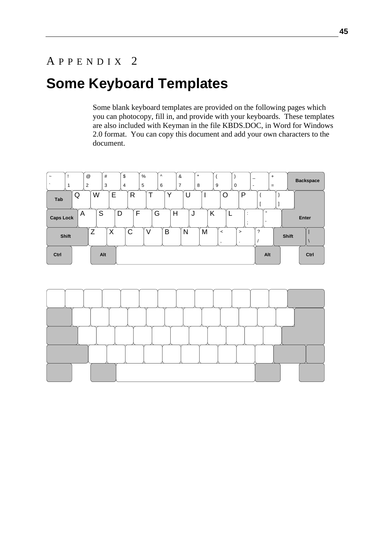# APPENDIX 2

# **Some Keyboard Templates**

Some blank keyboard templates are provided on the following pages which you can photocopy, fill in, and provide with your keyboards. These templates are also included with Keyman in the file KBDS.DOC, in Word for Windows 2.0 format. You can copy this document and add your own characters to the document.

| $\tilde{}$<br>$\cdot$ | $^\circledR$<br>$\overline{2}$ | #<br>3 | \$<br>$\overline{4}$ | %<br>5       | $\wedge$<br>6 | $\star$<br>&<br>$\overline{7}$<br>8 | 9                   | 0                 | $\ddot{}$<br>-<br>$=$<br>$\overline{\phantom{a}}$ | <b>Backspace</b> |
|-----------------------|--------------------------------|--------|----------------------|--------------|---------------|-------------------------------------|---------------------|-------------------|---------------------------------------------------|------------------|
| Tab                   | Q                              | W      | E                    | $\mathsf{R}$ |               | U                                   | O                   | P                 |                                                   |                  |
| <b>Caps Lock</b>      | A                              | S      | D                    | $\mathsf F$  | H<br>G        | J                                   | K                   | ٠<br>$\mathbf{r}$ | л                                                 | Enter            |
| Shift                 |                                | Z      | X<br>C               | V            | B             | N                                   | M<br>$\overline{a}$ | $\geq$            | $\overline{\cdot}$                                | <b>Shift</b>     |
| Ctrl                  |                                | Alt    |                      |              |               |                                     |                     |                   | Alt                                               | Ctrl             |

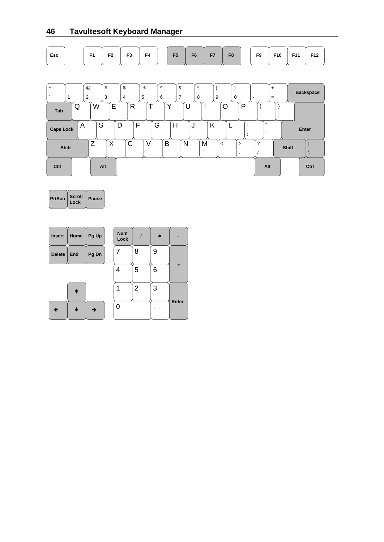## **46 Tavultesoft Keyboard Manager**

| <b>Esc</b>       |       | F <sub>1</sub>    | F <sub>2</sub> | F <sub>3</sub>   | F4                                          | F <sub>5</sub>           | F <sub>6</sub> | F7                    | F <sub>8</sub>                  | F <sub>9</sub>                 | F10<br>F11 | F12              |
|------------------|-------|-------------------|----------------|------------------|---------------------------------------------|--------------------------|----------------|-----------------------|---------------------------------|--------------------------------|------------|------------------|
|                  |       |                   |                |                  |                                             |                          |                |                       |                                 |                                |            |                  |
| $\cdot$          | 1     | $^\circledR$<br>2 | #<br>3         | $\mathbb S$<br>4 | $\frac{0}{0}$<br>$\boldsymbol{\wedge}$<br>5 | &<br>6<br>$\overline{7}$ | $\star$<br>8   | 9                     | $\mathbf 0$                     | $\ddot{}$<br>$\qquad \qquad =$ |            | <b>Backspace</b> |
| Tab              | Q     | W                 | E              | $\mathsf{R}$     | T                                           | Y                        | U              |                       | P<br>O                          |                                | ٠          |                  |
| <b>Caps Lock</b> | A     |                   | S<br>D         | F                | G                                           | H                        | J              | K                     | $\bullet$<br>$\cdot$<br>$\cdot$ | $\mathbf{u}$                   |            | Enter            |
|                  | Shift | $\overline{Z}$    | X              | $\mathsf C$      | $\vee$                                      | B                        | N              | M<br>$\,<$<br>$\cdot$ | $\geq$<br>$\bullet$             | $\gamma$                       | Shift      |                  |
| Ctrl             |       |                   | Alt            |                  |                                             |                          |                |                       |                                 | Alt                            |            | Ctrl             |

| <b>PrtScn</b> | Scroll<br>Lock | Pause |
|---------------|----------------|-------|
|               |                |       |

| <b>Insert</b> | Home | Pg Up |
|---------------|------|-------|
| <b>Delete</b> | End  | Pg Dn |

ተ

➔

| <b>Num</b><br>Lock |                |   |              |
|--------------------|----------------|---|--------------|
| 7                  | 8              | 9 |              |
| 4                  | 5              | 6 |              |
|                    | $\overline{2}$ | 3 |              |
| $\overline{0}$     |                |   | <b>Enter</b> |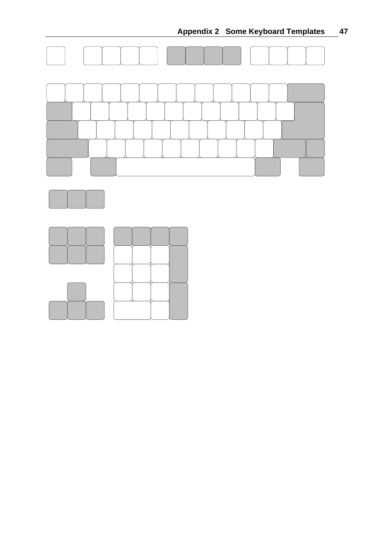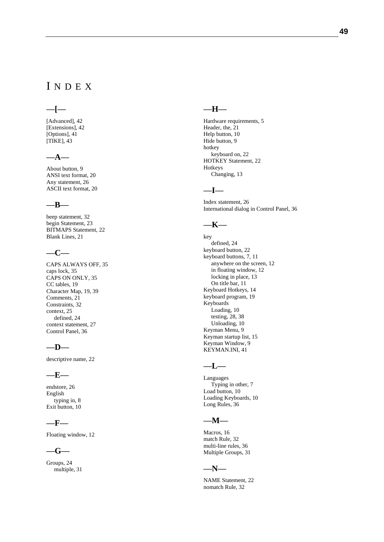## I N D E X

### **—[—**

[Advanced], 42 [Extensions], 42 [Options], 41 [TIKE], 43

### **—A—**

About button, 9 ANSI text format, 20 Any statement, 26 ASCII text format, 20

#### **—B—**

beep statement, 32 begin Statement, 23 BITMAPS Statement, 22 Blank Lines, 21

### **—C—**

CAPS ALWAYS OFF, 35 caps lock, 35 CAPS ON ONLY, 35 CC tables, 19 Character Map, 19, 39 Comments, 21 Constraints, 32 context, 25 defined, 24 context statement, 27 Control Panel, 36

**—D—**

descriptive name, 22

### **—E—**

endstore, 26 English typing in, 8 Exit button, 10

### **—F—**

Floating window, 12

$$
-G-
$$

Groups, 24 multiple, 31

### **— H —**

Hardware requirements, 5 Header, the, 21 Help button, 10 Hide button, 9 hotkey keyboard on, 22 HOTKEY Statement, 22 Hotkeys Changing, 13

### **—I—**

Index statement, 26 International dialog in Control Panel, 36

### **—K—**

key defined, 24 keyboard button, 22 keyboard buttons, 7, 11 anywhere on the screen, 12 in floating window, 12 locking in place, 13 On title bar, 11 Keyboard Hotkeys, 14 keyboard program, 19 Keyboards Loading, 10 testing, 28, 38 Unloading, 10 Keyman Menu, 9 Keyman startup list, 15 Keyman Window, 9 KEYMAN.INI, 41

#### **—L—**

Languages Typing in other, 7 Load button, 10 Loading Keyboards, 10 Long Rules, 36

### **—M—**

Macros, 16 match Rule, 32 multi -line rules, 36 Multiple Groups, 31

**—N—**

NAME Statement, 22 nomatch Rule, 32